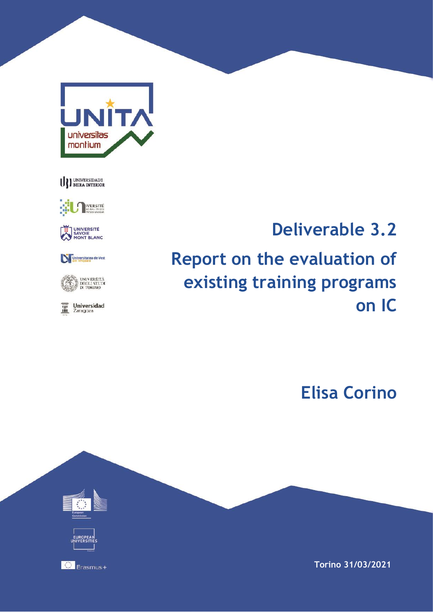





UNIVERSITÉ<br>SAVOIE<br>MONT BLANC

Universitatea de Vest



 $\overline{\mathbf{m}}$  Universidad

# **Deliverable 3.2 Report on the evaluation of existing training programs on IC**

**Elisa Corino**



**Torino 31/03/2021**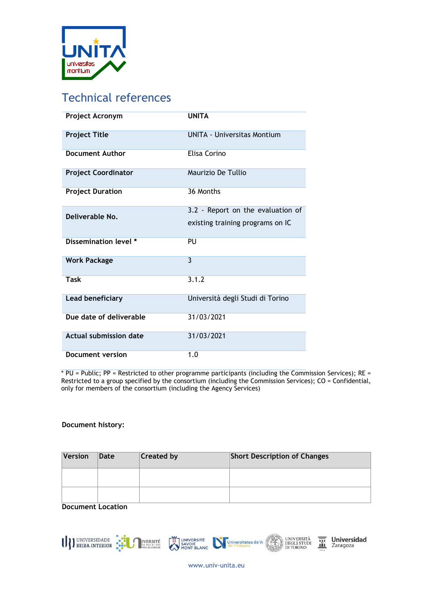

# Technical references

| Project Acronym               | <b>UNITA</b>                                                          |
|-------------------------------|-----------------------------------------------------------------------|
| <b>Project Title</b>          | <b>UNITA - Universitas Montium</b>                                    |
| <b>Document Author</b>        | Elisa Corino                                                          |
| <b>Project Coordinator</b>    | Maurizio De Tullio                                                    |
| <b>Project Duration</b>       | 36 Months                                                             |
| Deliverable No.               | 3.2 - Report on the evaluation of<br>existing training programs on IC |
| Dissemination level *         | PU                                                                    |
| <b>Work Package</b>           | $\mathbf{3}$                                                          |
| Task                          | 3.1.2                                                                 |
| Lead beneficiary              | Università degli Studi di Torino                                      |
| Due date of deliverable       | 31/03/2021                                                            |
| <b>Actual submission date</b> | 31/03/2021                                                            |
| Document version              | 1.0                                                                   |

\* PU = Public; PP = Restricted to other programme participants (including the Commission Services); RE = Restricted to a group specified by the consortium (including the Commission Services); CO = Confidential, only for members of the consortium (including the Agency Services)

#### **Document history:**

| Version | Date | <b>Created by</b> | <b>Short Description of Changes</b> |
|---------|------|-------------------|-------------------------------------|
|         |      |                   |                                     |
|         |      |                   |                                     |

**Document Location**



www.univ-unita.eu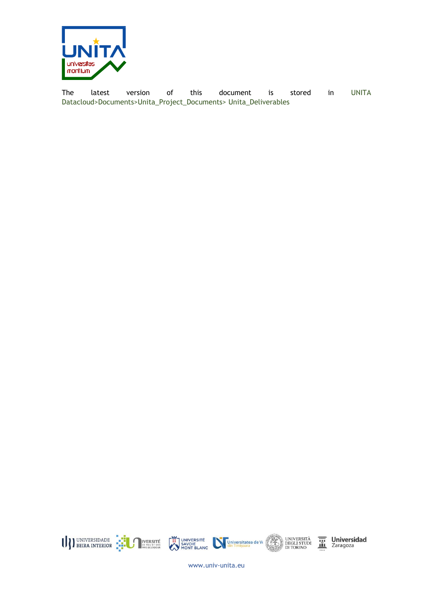

The latest version of this document is stored in UNITA Datacloud>Documents>Unita\_Project\_Documents> Unita\_Deliverables



 $\overline{\mathbf{m}}$  Universidad

www.univ-unita.eu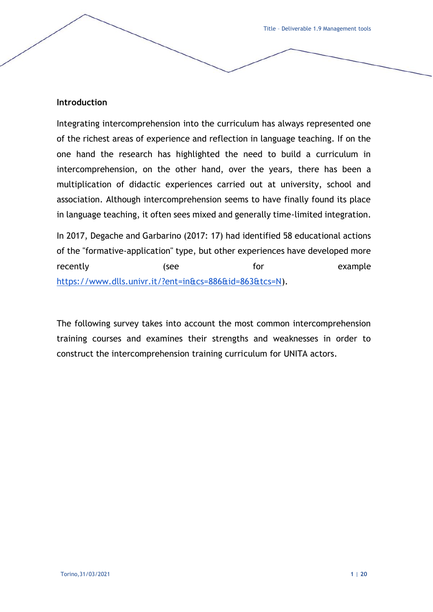## **Introduction**

Integrating intercomprehension into the curriculum has always represented one of the richest areas of experience and reflection in language teaching. If on the one hand the research has highlighted the need to build a curriculum in intercomprehension, on the other hand, over the years, there has been a multiplication of didactic experiences carried out at university, school and association. Although intercomprehension seems to have finally found its place in language teaching, it often sees mixed and generally time-limited integration.

In 2017, Degache and Garbarino (2017: 17) had identified 58 educational actions of the "formative-application" type, but other experiences have developed more recently **for** (see for for example [https://www.dlls.univr.it/?ent=in&cs=886&id=863&tcs=N\)](https://www.dlls.univr.it/?ent=in&cs=886&id=863&tcs=N).

The following survey takes into account the most common intercomprehension training courses and examines their strengths and weaknesses in order to construct the intercomprehension training curriculum for UNITA actors.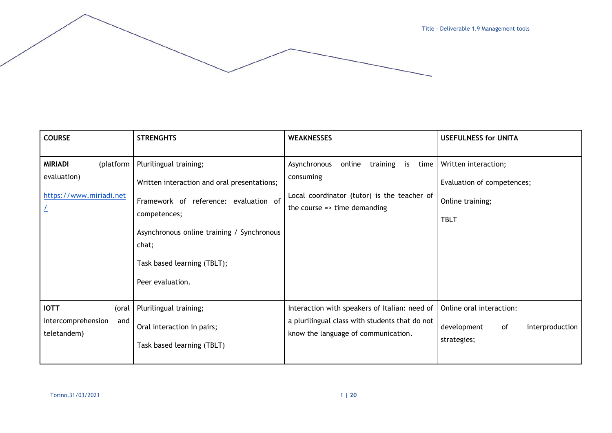| <b>COURSE</b>                                                         | <b>STRENGHTS</b>                                                                                                                                                                                                                         | <b>WEAKNESSES</b>                                                                                                                                      | <b>USEFULNESS for UNITA</b>                                                           |
|-----------------------------------------------------------------------|------------------------------------------------------------------------------------------------------------------------------------------------------------------------------------------------------------------------------------------|--------------------------------------------------------------------------------------------------------------------------------------------------------|---------------------------------------------------------------------------------------|
| <b>MIRIADI</b><br>(platform<br>evaluation)<br>https://www.miriadi.net | Plurilingual training;<br>Written interaction and oral presentations;<br>Framework of reference: evaluation of<br>competences;<br>Asynchronous online training / Synchronous<br>chat;<br>Task based learning (TBLT);<br>Peer evaluation. | Asynchronous<br>online<br>training is<br>time l<br>consuming<br>Local coordinator (tutor) is the teacher of<br>the course $\Rightarrow$ time demanding | Written interaction;<br>Evaluation of competences;<br>Online training;<br><b>TBLT</b> |
| <b>IOTT</b><br>(oral<br>intercomprehension<br>and<br>teletandem)      | Plurilingual training;<br>Oral interaction in pairs;<br>Task based learning (TBLT)                                                                                                                                                       | Interaction with speakers of Italian: need of<br>a plurilingual class with students that do not<br>know the language of communication.                 | Online oral interaction:<br>development<br>of<br>interproduction<br>strategies;       |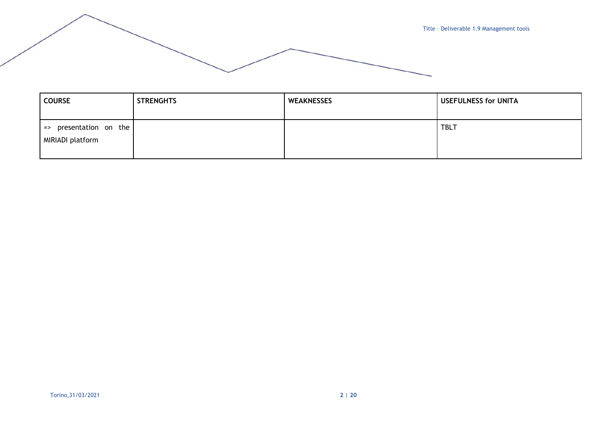

| <b>COURSE</b>                                            | <b>STRENGHTS</b> | <b>WEAKNESSES</b> | <b>USEFULNESS for UNITA</b> |
|----------------------------------------------------------|------------------|-------------------|-----------------------------|
| presentation on the<br>$\Rightarrow$<br>MIRIADI platform |                  |                   | <b>TBLT</b>                 |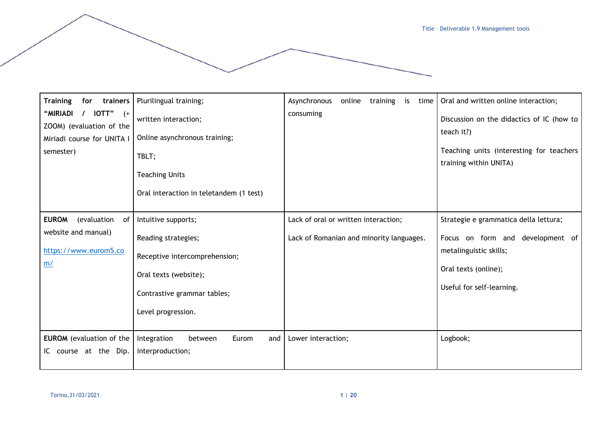| <b>Training</b><br>trainers<br>for<br>"MIRIADI<br>$IOTT"$ $(+$<br>ZOOM) (evaluation of the<br>Miriadi course for UNITA I<br>semester) | Plurilingual training;<br>written interaction;<br>Online asynchronous training;<br>TBLT;                                                                  | Asynchronous<br>online<br>training<br>is<br>time<br>consuming                    | Oral and written online interaction;<br>Discussion on the didactics of IC (how to<br>teach it?)<br>Teaching units (interesting for teachers<br>training within UNITA) |
|---------------------------------------------------------------------------------------------------------------------------------------|-----------------------------------------------------------------------------------------------------------------------------------------------------------|----------------------------------------------------------------------------------|-----------------------------------------------------------------------------------------------------------------------------------------------------------------------|
|                                                                                                                                       | <b>Teaching Units</b><br>Oral interaction in teletandem (1 test)                                                                                          |                                                                                  |                                                                                                                                                                       |
| <b>EUROM</b><br>(evaluation<br>0f<br>website and manual)<br>https://www.eurom5.co<br>m/                                               | Intuitive supports;<br>Reading strategies;<br>Receptive intercomprehension;<br>Oral texts (website);<br>Contrastive grammar tables;<br>Level progression. | Lack of oral or written interaction;<br>Lack of Romanian and minority languages. | Strategie e grammatica della lettura;<br>Focus on form and development of<br>metalinguistic skills;<br>Oral texts (online);<br>Useful for self-learning.              |
| <b>EUROM</b> (evaluation of the<br>IC course at the Dip.                                                                              | Integration<br>Eurom<br>between<br>and<br>interproduction;                                                                                                | Lower interaction;                                                               | Logbook;                                                                                                                                                              |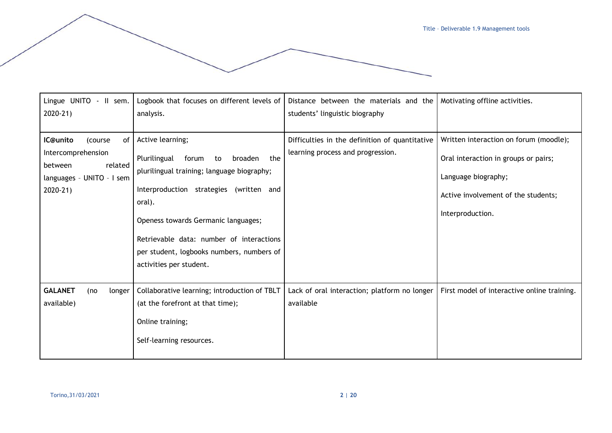| Lingue UNITO - II sem.<br>$2020-21$                                                                                 | Logbook that focuses on different levels of<br>analysis.                                                                                                                                                                                                                                                                        | Distance between the materials and the<br>students' linguistic biography            | Motivating offline activities.                                                                                                                                   |
|---------------------------------------------------------------------------------------------------------------------|---------------------------------------------------------------------------------------------------------------------------------------------------------------------------------------------------------------------------------------------------------------------------------------------------------------------------------|-------------------------------------------------------------------------------------|------------------------------------------------------------------------------------------------------------------------------------------------------------------|
| IC@unito<br>(course<br>of I<br>Intercomprehension<br>between<br>related<br>languages - UNITO - I sem<br>$2020 - 21$ | Active learning;<br>Plurilingual<br>forum<br>the<br>broaden<br>to<br>plurilingual training; language biography;<br>Interproduction strategies (written and<br>oral).<br>Openess towards Germanic languages;<br>Retrievable data: number of interactions<br>per student, logbooks numbers, numbers of<br>activities per student. | Difficulties in the definition of quantitative<br>learning process and progression. | Written interaction on forum (moodle);<br>Oral interaction in groups or pairs;<br>Language biography;<br>Active involvement of the students;<br>Interproduction. |
| <b>GALANET</b><br>longer<br>(no<br>available)                                                                       | Collaborative learning; introduction of TBLT<br>(at the forefront at that time);<br>Online training;<br>Self-learning resources.                                                                                                                                                                                                | Lack of oral interaction; platform no longer<br>available                           | First model of interactive online training.                                                                                                                      |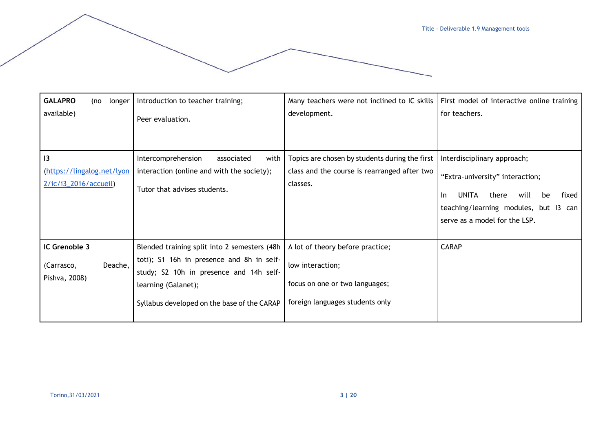| <b>GALAPRO</b><br>longer<br>(no<br>available)               | Introduction to teacher training;<br>Peer evaluation.                                                                                                                                                      | Many teachers were not inclined to IC skills<br>development.                                                              | First model of interactive online training<br>for teachers.                                                                                                                              |
|-------------------------------------------------------------|------------------------------------------------------------------------------------------------------------------------------------------------------------------------------------------------------------|---------------------------------------------------------------------------------------------------------------------------|------------------------------------------------------------------------------------------------------------------------------------------------------------------------------------------|
| 13<br>(https://lingalog.net/lyon<br>$2/ic/i3_2016/accueil)$ | Intercomprehension<br>with<br>associated<br>interaction (online and with the society);<br>Tutor that advises students.                                                                                     | Topics are chosen by students during the first<br>class and the course is rearranged after two<br>classes.                | Interdisciplinary approach;<br>"Extra-university" interaction;<br>UNITA<br>will<br>fixed<br>-In<br>there<br>be<br>teaching/learning modules, but I3 can<br>serve as a model for the LSP. |
| IC Grenoble 3<br>Deache,<br>(Carrasco,<br>Pishva, 2008)     | Blended training split into 2 semesters (48h<br>toti); S1 16h in presence and 8h in self-<br>study; S2 10h in presence and 14h self-<br>learning (Galanet);<br>Syllabus developed on the base of the CARAP | A lot of theory before practice;<br>low interaction;<br>focus on one or two languages;<br>foreign languages students only | <b>CARAP</b>                                                                                                                                                                             |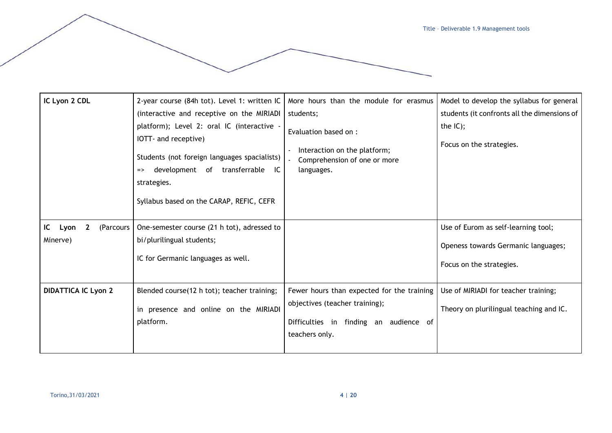| IC Lyon 2 CDL                                       | 2-year course (84h tot). Level 1: written IC<br>(interactive and receptive on the MIRIADI<br>platform); Level 2: oral IC (interactive<br>IOTT- and receptive)<br>Students (not foreign languages spacialists)<br>development of transferrable<br>IC<br>$\Rightarrow$<br>strategies.<br>Syllabus based on the CARAP, REFIC, CEFR | More hours than the module for erasmus<br>students;<br>Evaluation based on :<br>Interaction on the platform;<br>Comprehension of one or more<br>languages. | Model to develop the syllabus for general<br>students (it confronts all the dimensions of<br>the $IC$ );<br>Focus on the strategies. |
|-----------------------------------------------------|---------------------------------------------------------------------------------------------------------------------------------------------------------------------------------------------------------------------------------------------------------------------------------------------------------------------------------|------------------------------------------------------------------------------------------------------------------------------------------------------------|--------------------------------------------------------------------------------------------------------------------------------------|
| IC<br>$\mathbf{2}$<br>(Parcours<br>Lyon<br>Minerve) | One-semester course (21 h tot), adressed to<br>bi/plurilingual students;<br>IC for Germanic languages as well.                                                                                                                                                                                                                  |                                                                                                                                                            | Use of Eurom as self-learning tool;<br>Openess towards Germanic languages;<br>Focus on the strategies.                               |
| <b>DIDATTICA IC Lyon 2</b>                          | Blended course(12 h tot); teacher training;<br>in presence and online on the MIRIADI<br>platform.                                                                                                                                                                                                                               | Fewer hours than expected for the training<br>objectives (teacher training);<br>Difficulties in finding an audience of<br>teachers only.                   | Use of MIRIADI for teacher training;<br>Theory on plurilingual teaching and IC.                                                      |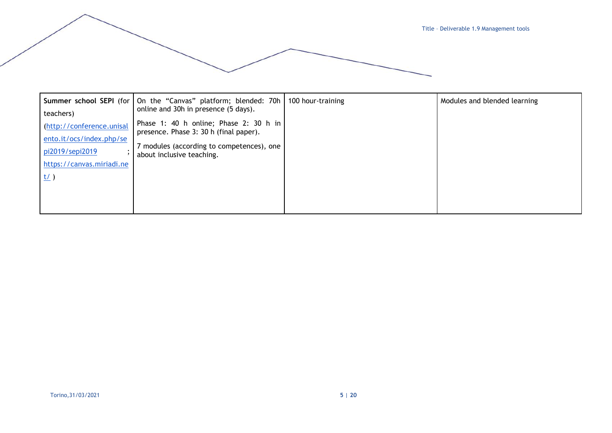

|                                             | Summer school SEPI (for   On the "Canvas" platform; blended: 70h<br>online and 30h in presence (5 days). | 100 hour-training | Modules and blended learning |
|---------------------------------------------|----------------------------------------------------------------------------------------------------------|-------------------|------------------------------|
| teachers)                                   | Phase 1: 40 h online; Phase 2: 30 h in                                                                   |                   |                              |
| (http://conference.unisal                   | presence. Phase 3: 30 h (final paper).                                                                   |                   |                              |
| ento.it/ocs/index.php/se<br>pi2019/sepi2019 | 7 modules (according to competences), one                                                                |                   |                              |
| https://canvas.miriadi.ne                   | about inclusive teaching.                                                                                |                   |                              |
| <u>t/</u> )                                 |                                                                                                          |                   |                              |
|                                             |                                                                                                          |                   |                              |
|                                             |                                                                                                          |                   |                              |
|                                             |                                                                                                          |                   |                              |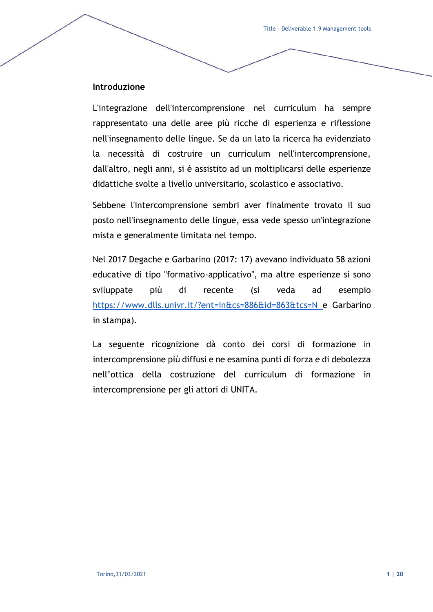## **Introduzione**

L'integrazione dell'intercomprensione nel curriculum ha sempre rappresentato una delle aree più ricche di esperienza e riflessione nell'insegnamento delle lingue. Se da un lato la ricerca ha evidenziato la necessità di costruire un curriculum nell'intercomprensione, dall'altro, negli anni, si è assistito ad un moltiplicarsi delle esperienze didattiche svolte a livello universitario, scolastico e associativo.

Sebbene l'intercomprensione sembri aver finalmente trovato il suo posto nell'insegnamento delle lingue, essa vede spesso un'integrazione mista e generalmente limitata nel tempo.

Nel 2017 Degache e Garbarino (2017: 17) avevano individuato 58 azioni educative di tipo "formativo-applicativo", ma altre esperienze si sono sviluppate più di recente (si veda ad esempio <https://www.dlls.univr.it/?ent=in&cs=886&id=863&tcs=N> e Garbarino in stampa).

La seguente ricognizione dà conto dei corsi di formazione in intercomprensione più diffusi e ne esamina punti di forza e di debolezza nell'ottica della costruzione del curriculum di formazione in intercomprensione per gli attori di UNITA.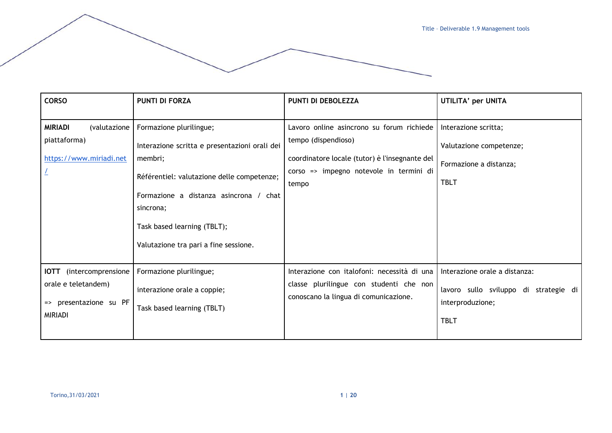| <b>CORSO</b>                                                                                         | <b>PUNTI DI FORZA</b>                                                                                                                                                                                                                                            | PUNTI DI DEBOLEZZA                                                                                                                                                     | UTILITA' per UNITA                                                                                        |
|------------------------------------------------------------------------------------------------------|------------------------------------------------------------------------------------------------------------------------------------------------------------------------------------------------------------------------------------------------------------------|------------------------------------------------------------------------------------------------------------------------------------------------------------------------|-----------------------------------------------------------------------------------------------------------|
| <b>MIRIADI</b><br>(valutazione<br>piattaforma)<br>https://www.miriadi.net                            | Formazione plurilingue;<br>Interazione scritta e presentazioni orali dei<br>membri;<br>Référentiel: valutazione delle competenze;<br>Formazione a distanza asincrona / chat<br>sincrona;<br>Task based learning (TBLT);<br>Valutazione tra pari a fine sessione. | Lavoro online asincrono su forum richiede<br>tempo (dispendioso)<br>coordinatore locale (tutor) è l'insegnante del<br>corso => impegno notevole in termini di<br>tempo | Interazione scritta;<br>Valutazione competenze;<br>Formazione a distanza;<br><b>TBLT</b>                  |
| <b>IOTT</b><br>(intercomprensione<br>orale e teletandem)<br>=> presentazione su PF<br><b>MIRIADI</b> | Formazione plurilingue;<br>interazione orale a coppie;<br>Task based learning (TBLT)                                                                                                                                                                             | Interazione con italofoni: necessità di una<br>classe plurilingue con studenti che non<br>conoscano la lingua di comunicazione.                                        | Interazione orale a distanza:<br>lavoro sullo sviluppo di strategie di<br>interproduzione;<br><b>TBLT</b> |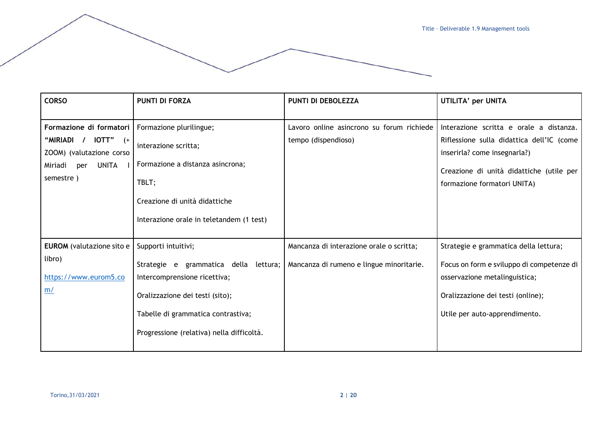| <b>CORSO</b>                                                                                                            | <b>PUNTI DI FORZA</b>                                                                                                                                                                                              | PUNTI DI DEBOLEZZA                                                                   | UTILITA' per UNITA                                                                                                                                                                              |
|-------------------------------------------------------------------------------------------------------------------------|--------------------------------------------------------------------------------------------------------------------------------------------------------------------------------------------------------------------|--------------------------------------------------------------------------------------|-------------------------------------------------------------------------------------------------------------------------------------------------------------------------------------------------|
| Formazione di formatori<br>"MIRIADI /<br>$IOTT"$ (+<br>ZOOM) (valutazione corso<br>UNITA<br>Miriadi<br>per<br>semestre) | Formazione plurilingue;<br>interazione scritta;<br>Formazione a distanza asincrona;<br>TBLT;<br>Creazione di unità didattiche<br>Interazione orale in teletandem (1 test)                                          | Lavoro online asincrono su forum richiede<br>tempo (dispendioso)                     | Interazione scritta e orale a distanza.<br>Riflessione sulla didattica dell'IC (come<br>inserirla? come insegnarla?)<br>Creazione di unità didattiche (utile per<br>formazione formatori UNITA) |
| <b>EUROM</b> (valutazione sito e<br>libro)<br>https://www.eurom5.co<br>m/                                               | Supporti intuitivi;<br>Strategie e grammatica della lettura;<br>Intercomprensione ricettiva;<br>Oralizzazione dei testi (sito);<br>Tabelle di grammatica contrastiva;<br>Progressione (relativa) nella difficoltà. | Mancanza di interazione orale o scritta;<br>Mancanza di rumeno e lingue minoritarie. | Strategie e grammatica della lettura;<br>Focus on form e sviluppo di competenze di<br>osservazione metalinguistica;<br>Oralizzazione dei testi (online);<br>Utile per auto-apprendimento.       |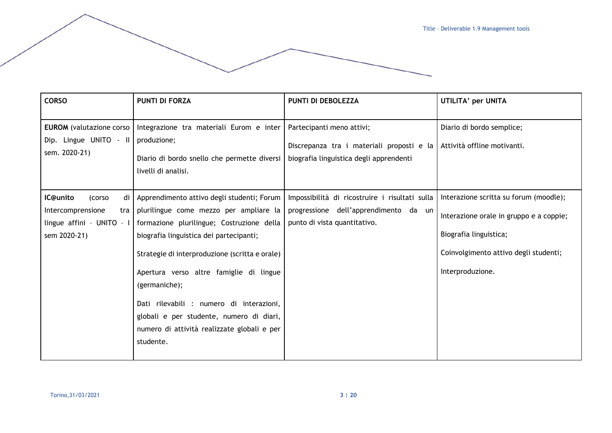| <b>CORSO</b>                                                                                      | <b>PUNTI DI FORZA</b>                                                                                                                                                                                                                                                                                                                                                                                                                          | PUNTI DI DEBOLEZZA                                                                                                      | UTILITA' per UNITA                                                                                                                                                       |
|---------------------------------------------------------------------------------------------------|------------------------------------------------------------------------------------------------------------------------------------------------------------------------------------------------------------------------------------------------------------------------------------------------------------------------------------------------------------------------------------------------------------------------------------------------|-------------------------------------------------------------------------------------------------------------------------|--------------------------------------------------------------------------------------------------------------------------------------------------------------------------|
| <b>EUROM</b> (valutazione corso  <br>Dip. Lingue UNITO - II<br>sem. 2020-21)                      | Integrazione tra materiali Eurom e inter<br>produzione;<br>Diario di bordo snello che permette diversi<br>livelli di analisi.                                                                                                                                                                                                                                                                                                                  | Partecipanti meno attivi;<br>Discrepanza tra i materiali proposti e la<br>biografia linguistica degli apprendenti       | Diario di bordo semplice;<br>Attività offline motivanti.                                                                                                                 |
| IC@unito<br>di<br>(corso<br>Intercomprensione<br>tra<br>lingue affini - UNITO - I<br>sem 2020-21) | Apprendimento attivo degli studenti; Forum<br>plurilingue come mezzo per ampliare la<br>formazione plurilingue; Costruzione della<br>biografia linguistica dei partecipanti;<br>Strategie di interproduzione (scritta e orale)<br>Apertura verso altre famiglie di lingue<br>(germaniche);<br>Dati rilevabili : numero di interazioni,<br>globali e per studente, numero di diari,<br>numero di attività realizzate globali e per<br>studente. | Impossibilità di ricostruire i risultati sulla<br>progressione dell'apprendimento da un<br>punto di vista quantitativo. | Interazione scritta su forum (moodle);<br>Interazione orale in gruppo e a coppie;<br>Biografia linguistica;<br>Coinvolgimento attivo degli studenti;<br>Interproduzione. |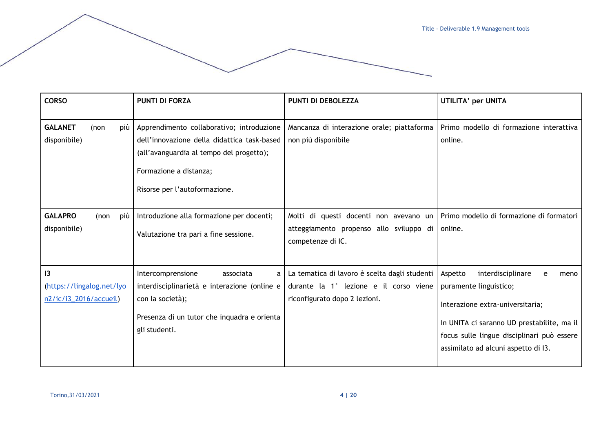focus sulle lingue disciplinari può essere

assimilato ad alcuni aspetto di I3.

| <b>CORSO</b>                   |      |     | <b>PUNTI DI FORZA</b>                                                                                                                                                                           | PUNTI DI DEBOLEZZA                                                | UTILITA' per UNITA                                                                                                                                  |
|--------------------------------|------|-----|-------------------------------------------------------------------------------------------------------------------------------------------------------------------------------------------------|-------------------------------------------------------------------|-----------------------------------------------------------------------------------------------------------------------------------------------------|
|                                |      |     |                                                                                                                                                                                                 |                                                                   |                                                                                                                                                     |
| <b>GALANET</b><br>disponibile) | (non | più | Apprendimento collaborativo; introduzione<br>dell'innovazione della didattica task-based<br>(all'avanguardia al tempo del progetto);<br>Formazione a distanza;<br>Risorse per l'autoformazione. | Mancanza di interazione orale; piattaforma<br>non più disponibile | Primo modello di formazione interattiva<br>online.                                                                                                  |
|                                |      |     |                                                                                                                                                                                                 |                                                                   |                                                                                                                                                     |
| <b>GALAPRO</b>                 | (non | più | Introduzione alla formazione per docenti;                                                                                                                                                       | Molti di questi docenti non avevano un                            | Primo modello di formazione di formatori                                                                                                            |
| disponibile)                   |      |     | Valutazione tra pari a fine sessione.                                                                                                                                                           | atteggiamento propenso allo sviluppo di<br>competenze di IC.      | online.                                                                                                                                             |
|                                |      |     |                                                                                                                                                                                                 |                                                                   |                                                                                                                                                     |
| $\overline{13}$                |      |     | Intercomprensione<br>associata                                                                                                                                                                  | La tematica di lavoro è scelta dagli studenti                     | interdisciplinare<br>Aspetto<br>meno<br>e                                                                                                           |
| (https://lingalog.net/lyo      |      |     | interdisciplinarietà e interazione (online e                                                                                                                                                    | durante la 1° lezione e il corso viene                            | puramente linguistico;                                                                                                                              |
| $n2/ic/i3_2016/accueil)$       |      |     | con la società);                                                                                                                                                                                | riconfigurato dopo 2 lezioni.                                     | Interazione extra-universitaria;                                                                                                                    |
|                                |      |     | Presenza di un tutor che inquadra e orienta                                                                                                                                                     |                                                                   |                                                                                                                                                     |
|                                |      |     | gli studenti.                                                                                                                                                                                   |                                                                   | In UNITA ci saranno UD prestabilite, ma il<br>$\mathbf{r}$ and $\mathbf{r}$ are as a set of $\mathbf{r}$ and $\mathbf{r}$ are a set of $\mathbf{r}$ |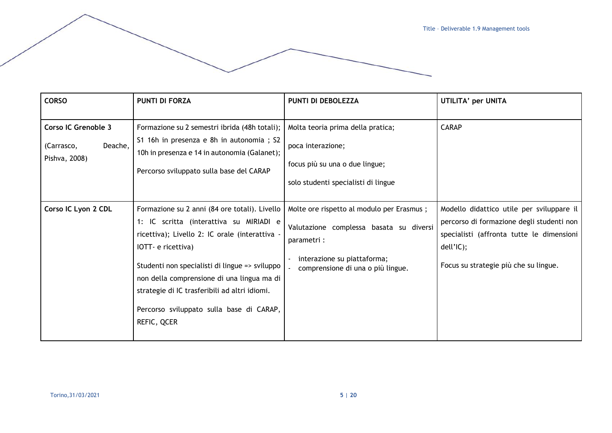| <b>CORSO</b>                                                         | <b>PUNTI DI FORZA</b>                                                                                                                                                                                                                                                                                                                                                        | PUNTI DI DEBOLEZZA                                                                                                                                                      | UTILITA' per UNITA                                                                                                                                                                        |
|----------------------------------------------------------------------|------------------------------------------------------------------------------------------------------------------------------------------------------------------------------------------------------------------------------------------------------------------------------------------------------------------------------------------------------------------------------|-------------------------------------------------------------------------------------------------------------------------------------------------------------------------|-------------------------------------------------------------------------------------------------------------------------------------------------------------------------------------------|
| <b>Corso IC Grenoble 3</b><br>Deache,<br>(Carrasco,<br>Pishva, 2008) | Formazione su 2 semestri ibrida (48h totali);<br>S1 16h in presenza e 8h in autonomia; S2<br>10h in presenza e 14 in autonomia (Galanet);<br>Percorso sviluppato sulla base del CARAP                                                                                                                                                                                        | Molta teoria prima della pratica;<br>poca interazione;<br>focus più su una o due lingue;<br>solo studenti specialisti di lingue                                         | <b>CARAP</b>                                                                                                                                                                              |
| Corso IC Lyon 2 CDL                                                  | Formazione su 2 anni (84 ore totali). Livello<br>1: IC scritta (interattiva su MIRIADI e<br>ricettiva); Livello 2: IC orale (interattiva ·<br>IOTT- e ricettiva)<br>Studenti non specialisti di lingue => sviluppo<br>non della comprensione di una lingua ma di<br>strategie di IC trasferibili ad altri idiomi.<br>Percorso sviluppato sulla base di CARAP,<br>REFIC, QCER | Molte ore rispetto al modulo per Erasmus;<br>Valutazione complessa basata su diversi<br>parametri :<br>interazione su piattaforma;<br>comprensione di una o più lingue. | Modello didattico utile per sviluppare il<br>percorso di formazione degli studenti non<br>specialisti (affronta tutte le dimensioni<br>dell'IC);<br>Focus su strategie più che su lingue. |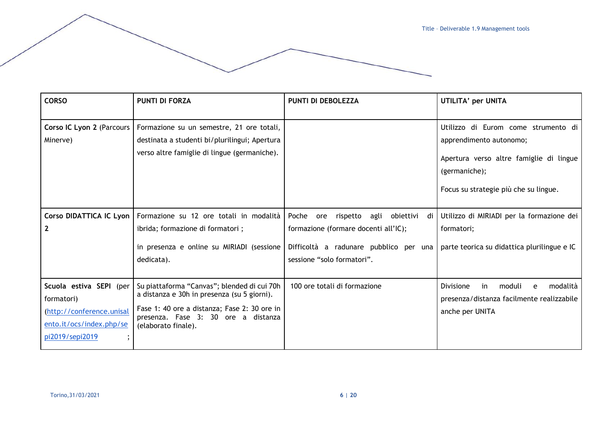| <b>CORSO</b>                                                                                                                 | <b>PUNTI DI FORZA</b>                                                                                                                                                                                    | <b>PUNTI DI DEBOLEZZA</b>                                                                                                                                             | UTILITA' per UNITA                                                                                                                                                  |
|------------------------------------------------------------------------------------------------------------------------------|----------------------------------------------------------------------------------------------------------------------------------------------------------------------------------------------------------|-----------------------------------------------------------------------------------------------------------------------------------------------------------------------|---------------------------------------------------------------------------------------------------------------------------------------------------------------------|
| Corso IC Lyon 2 (Parcours<br>Minerve)                                                                                        | Formazione su un semestre, 21 ore totali,<br>destinata a studenti bi/plurilingui; Apertura<br>verso altre famiglie di lingue (germaniche).                                                               |                                                                                                                                                                       | Utilizzo di Eurom come strumento di<br>apprendimento autonomo;<br>Apertura verso altre famiglie di lingue<br>(germaniche);<br>Focus su strategie più che su lingue. |
| Corso DIDATTICA IC Lyon<br>$\mathbf{2}$                                                                                      | Formazione su 12 ore totali in modalità<br>ibrida; formazione di formatori;<br>in presenza e online su MIRIADI (sessione<br>dedicata).                                                                   | Poche<br>agli<br>obiettivi<br>rispetto<br>ore<br>di l<br>formazione (formare docenti all'IC);<br>Difficoltà a radunare pubblico per una<br>sessione "solo formatori". | Utilizzo di MIRIADI per la formazione dei<br>formatori;<br>parte teorica su didattica plurilingue e IC                                                              |
| Scuola estiva SEPI (per<br>formatori)<br>(http://conference.unisal<br>ento.it/ocs/index.php/se<br>pi2019/sepi2019<br>$\cdot$ | Su piattaforma "Canvas"; blended di cui 70h<br>a distanza e 30h in presenza (su 5 giorni).<br>Fase 1: 40 ore a distanza; Fase 2: 30 ore in<br>presenza. Fase 3: 30 ore a distanza<br>(elaborato finale). | 100 ore totali di formazione                                                                                                                                          | modalità<br>in<br>moduli<br>Divisione<br>e<br>presenza/distanza facilmente realizzabile<br>anche per UNITA                                                          |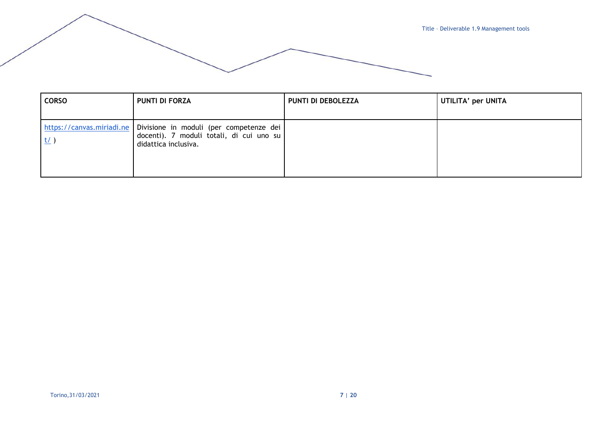

| <b>CORSO</b> | <b>PUNTI DI FORZA</b>                                                                                                                   | PUNTI DI DEBOLEZZA | UTILITA' per UNITA |
|--------------|-----------------------------------------------------------------------------------------------------------------------------------------|--------------------|--------------------|
|              | https://canvas.miriadi.ne   Divisione in moduli (per competenze dei<br>docenti). 7 moduli totali, di cui uno su<br>didattica inclusiva. |                    |                    |